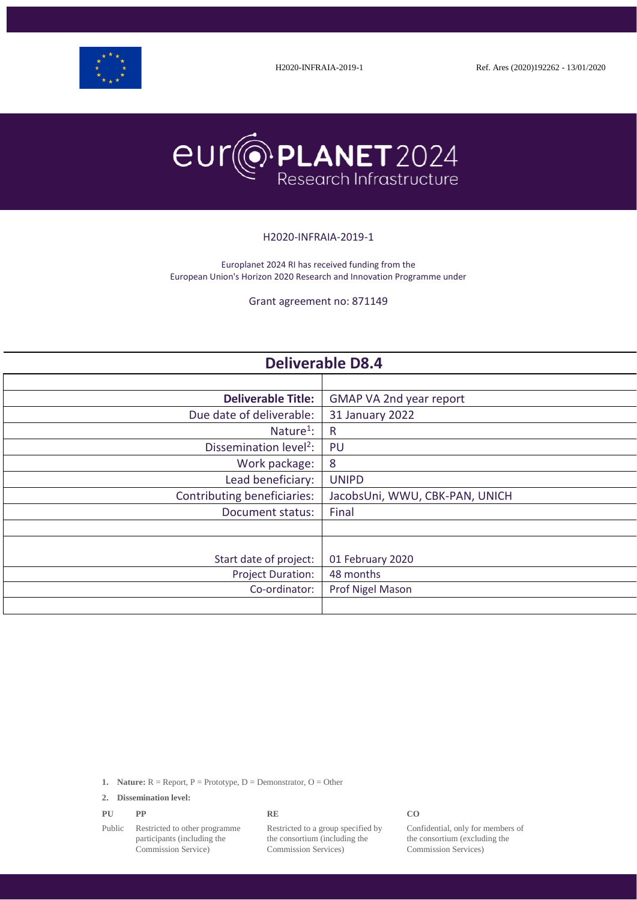



#### H2020-INFRAIA-2019-1

Europlanet 2024 RI has received funding from the European Union's Horizon 2020 Research and Innovation Programme under

Grant agreement no: 871149

| <b>Deliverable D8.4</b>            |                                |  |
|------------------------------------|--------------------------------|--|
|                                    |                                |  |
| <b>Deliverable Title:</b>          | GMAP VA 2nd year report        |  |
| Due date of deliverable:           | 31 January 2022                |  |
| Nature <sup>1</sup> :              | R                              |  |
| Dissemination level <sup>2</sup> : | PU                             |  |
| Work package:                      | 8                              |  |
| Lead beneficiary:                  | <b>UNIPD</b>                   |  |
| Contributing beneficiaries:        | JacobsUni, WWU, CBK-PAN, UNICH |  |
| Document status:                   | Final                          |  |
|                                    |                                |  |
|                                    |                                |  |
| Start date of project:             | 01 February 2020               |  |
| <b>Project Duration:</b>           | 48 months                      |  |
| Co-ordinator:                      | Prof Nigel Mason               |  |
|                                    |                                |  |

**1. Nature:**  $R =$  Report,  $P =$  Prototype,  $D =$  Demonstrator,  $O =$  Other

**2. Dissemination level:**

| CO<br>PU<br><b>RE</b><br><b>DD</b><br>r r |
|-------------------------------------------|
|-------------------------------------------|

Public Restricted to other programme participants (including the Commission Service)

Restricted to a group specified by the consortium (including the Commission Services)

Confidential, only for members of the consortium (excluding the Commission Services)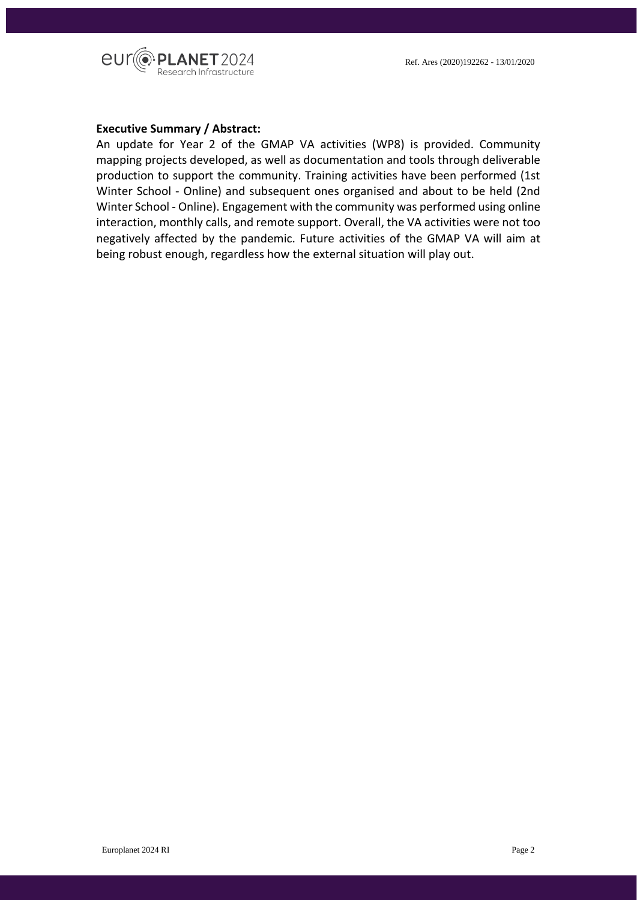

#### **Executive Summary / Abstract:**

An update for Year 2 of the GMAP VA activities (WP8) is provided. Community mapping projects developed, as well as documentation and tools through deliverable production to support the community. Training activities have been performed (1st Winter School - Online) and subsequent ones organised and about to be held (2nd Winter School - Online). Engagement with the community was performed using online interaction, monthly calls, and remote support. Overall, the VA activities were not too negatively affected by the pandemic. Future activities of the GMAP VA will aim at being robust enough, regardless how the external situation will play out.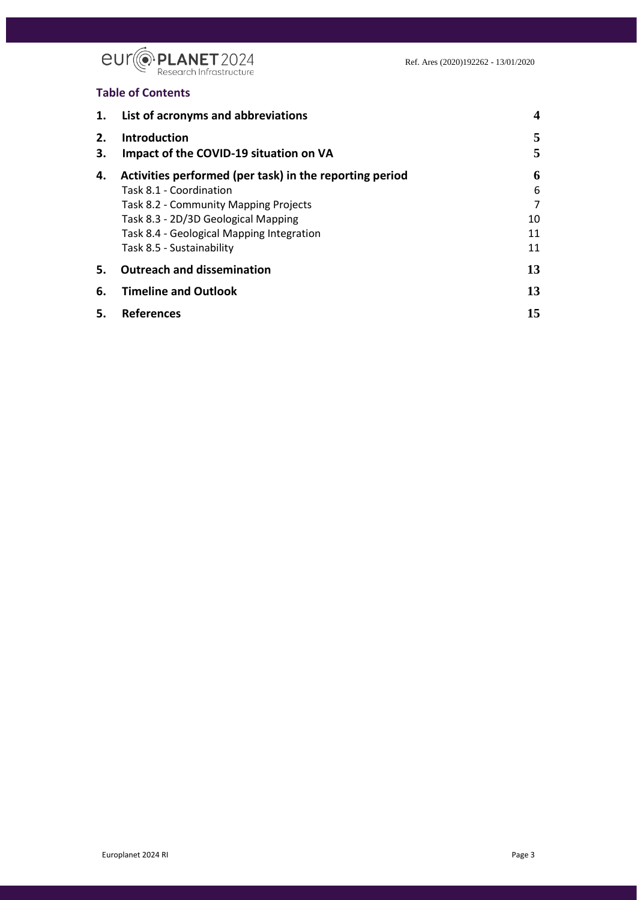

#### **Table of Contents**

| 1.       | List of acronyms and abbreviations                            | $\boldsymbol{4}$ |
|----------|---------------------------------------------------------------|------------------|
| 2.<br>3. | <b>Introduction</b><br>Impact of the COVID-19 situation on VA | 5<br>5           |
| 4.       | Activities performed (per task) in the reporting period       | 6                |
|          | Task 8.1 - Coordination                                       | 6                |
|          | Task 8.2 - Community Mapping Projects                         | 7                |
|          | Task 8.3 - 2D/3D Geological Mapping                           | 10               |
|          | Task 8.4 - Geological Mapping Integration                     | 11               |
|          | Task 8.5 - Sustainability                                     | 11               |
| 5.       | <b>Outreach and dissemination</b>                             | 13               |
| 6.       | <b>Timeline and Outlook</b>                                   | 13               |
| 5.       | <b>References</b>                                             | 15               |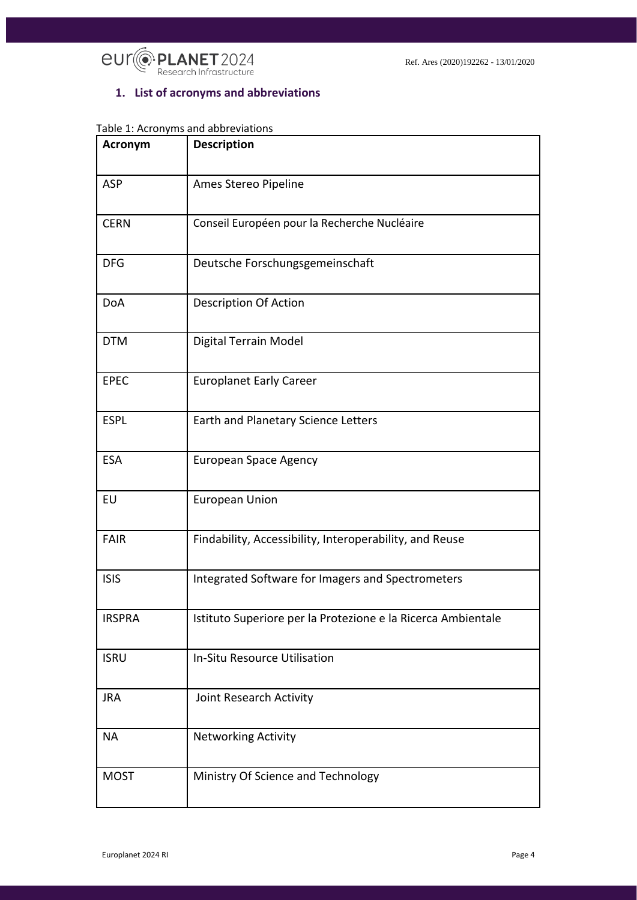

7

# <span id="page-3-0"></span>**1. List of acronyms and abbreviations**

# Table 1: Acronyms and abbreviations

| Acronym       | <b>Description</b>                                           |
|---------------|--------------------------------------------------------------|
| ASP           | Ames Stereo Pipeline                                         |
| <b>CERN</b>   | Conseil Européen pour la Recherche Nucléaire                 |
| <b>DFG</b>    | Deutsche Forschungsgemeinschaft                              |
| <b>DoA</b>    | <b>Description Of Action</b>                                 |
| <b>DTM</b>    | Digital Terrain Model                                        |
| <b>EPEC</b>   | <b>Europlanet Early Career</b>                               |
| <b>ESPL</b>   | Earth and Planetary Science Letters                          |
| <b>ESA</b>    | <b>European Space Agency</b>                                 |
| EU            | <b>European Union</b>                                        |
| <b>FAIR</b>   | Findability, Accessibility, Interoperability, and Reuse      |
| <b>ISIS</b>   | Integrated Software for Imagers and Spectrometers            |
| <b>IRSPRA</b> | Istituto Superiore per la Protezione e la Ricerca Ambientale |
| <b>ISRU</b>   | In-Situ Resource Utilisation                                 |
| <b>JRA</b>    | Joint Research Activity                                      |
| <b>NA</b>     | <b>Networking Activity</b>                                   |
| <b>MOST</b>   | Ministry Of Science and Technology                           |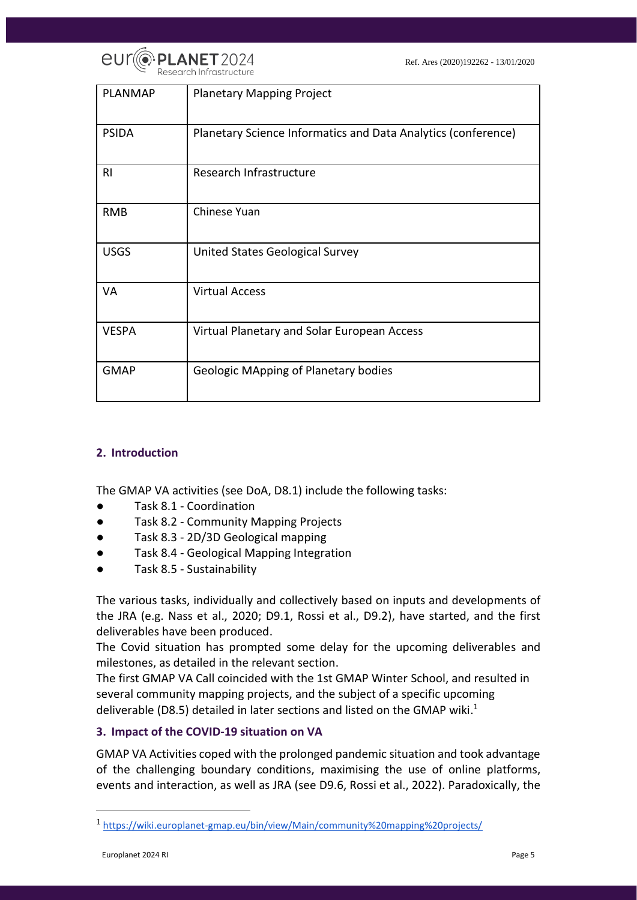

| <b>PLANMAP</b> | <b>Planetary Mapping Project</b>                              |
|----------------|---------------------------------------------------------------|
| <b>PSIDA</b>   | Planetary Science Informatics and Data Analytics (conference) |
| RI.            | Research Infrastructure                                       |
| <b>RMB</b>     | Chinese Yuan                                                  |
| <b>USGS</b>    | United States Geological Survey                               |
| VA             | <b>Virtual Access</b>                                         |
| <b>VESPA</b>   | Virtual Planetary and Solar European Access                   |
| <b>GMAP</b>    | <b>Geologic MApping of Planetary bodies</b>                   |

#### <span id="page-4-0"></span>**2. Introduction**

The GMAP VA activities (see DoA, D8.1) include the following tasks:

- Task 8.1 Coordination
- Task 8.2 Community Mapping Projects
- Task 8.3 2D/3D Geological mapping
- Task 8.4 Geological Mapping Integration
- Task 8.5 Sustainability

The various tasks, individually and collectively based on inputs and developments of the JRA (e.g. Nass et al., 2020; D9.1, Rossi et al., D9.2), have started, and the first deliverables have been produced.

The Covid situation has prompted some delay for the upcoming deliverables and milestones, as detailed in the relevant section.

The first GMAP VA Call coincided with the 1st GMAP Winter School, and resulted in several community mapping projects, and the subject of a specific upcoming deliverable (D8.5) detailed in later sections and listed on the GMAP wiki.<sup>1</sup>

#### <span id="page-4-1"></span>**3. Impact of the COVID-19 situation on VA**

GMAP VA Activities coped with the prolonged pandemic situation and took advantage of the challenging boundary conditions, maximising the use of online platforms, events and interaction, as well as JRA (see D9.6, Rossi et al., 2022). Paradoxically, the

<sup>1</sup> <https://wiki.europlanet-gmap.eu/bin/view/Main/community%20mapping%20projects/>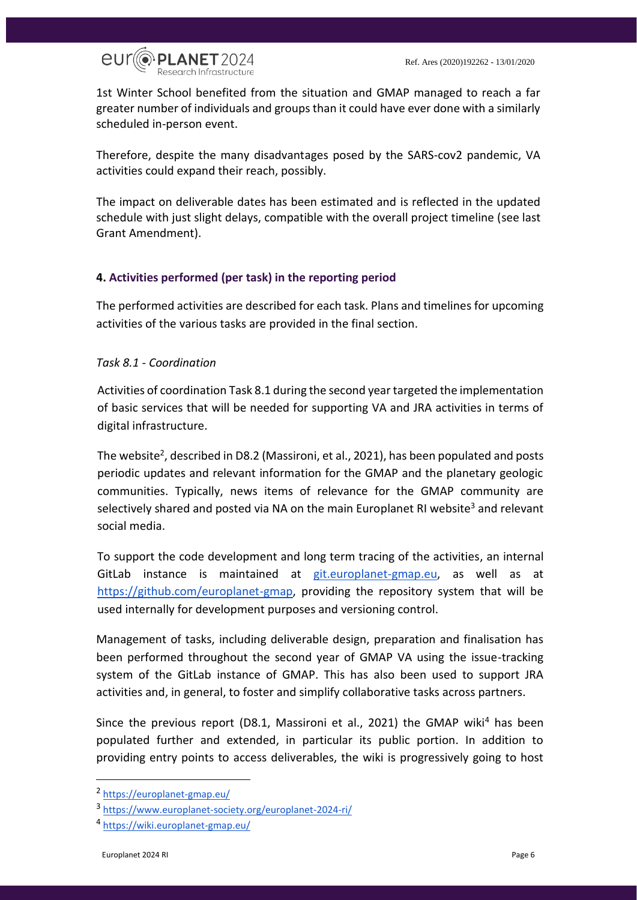

1st Winter School benefited from the situation and GMAP managed to reach a far greater number of individuals and groups than it could have ever done with a similarly scheduled in-person event.

Therefore, despite the many disadvantages posed by the SARS-cov2 pandemic, VA activities could expand their reach, possibly.

The impact on deliverable dates has been estimated and is reflected in the updated schedule with just slight delays, compatible with the overall project timeline (see last Grant Amendment).

#### <span id="page-5-0"></span>**4. Activities performed (per task) in the reporting period**

The performed activities are described for each task. Plans and timelines for upcoming activities of the various tasks are provided in the final section.

#### <span id="page-5-1"></span>*Task 8.1 - Coordination*

Activities of coordination Task 8.1 during the second year targeted the implementation of basic services that will be needed for supporting VA and JRA activities in terms of digital infrastructure.

The website<sup>2</sup>, described in D8.2 (Massironi, et al., 2021), has been populated and posts periodic updates and relevant information for the GMAP and the planetary geologic communities. Typically, news items of relevance for the GMAP community are selectively shared and posted via NA on the main Europlanet RI website<sup>3</sup> and relevant social media.

To support the code development and long term tracing of the activities, an internal GitLab instance is maintained a[t](https://git.europlanet-gmap.eu/) [git.europlanet-gmap.eu,](https://git.europlanet-gmap.eu/) as well as at [https://github.com/europlanet-gmap,](https://github.com/europlanet-gmap) providing the repository system that will be used internally for development purposes and versioning control.

Management of tasks, including deliverable design, preparation and finalisation has been performed throughout the second year of GMAP VA using the issue-tracking system of the GitLab instance of GMAP. This has also been used to support JRA activities and, in general, to foster and simplify collaborative tasks across partners.

Since the previous report (D8.1, Massironi et al., 2021) the GMAP wiki<sup>4</sup> has been populated further and extended, in particular its public portion. In addition to providing entry points to access deliverables, the wiki is progressively going to host

<sup>2</sup> <https://europlanet-gmap.eu/>

<sup>3</sup> <https://www.europlanet-society.org/europlanet-2024-ri/>

<sup>4</sup> <https://wiki.europlanet-gmap.eu/>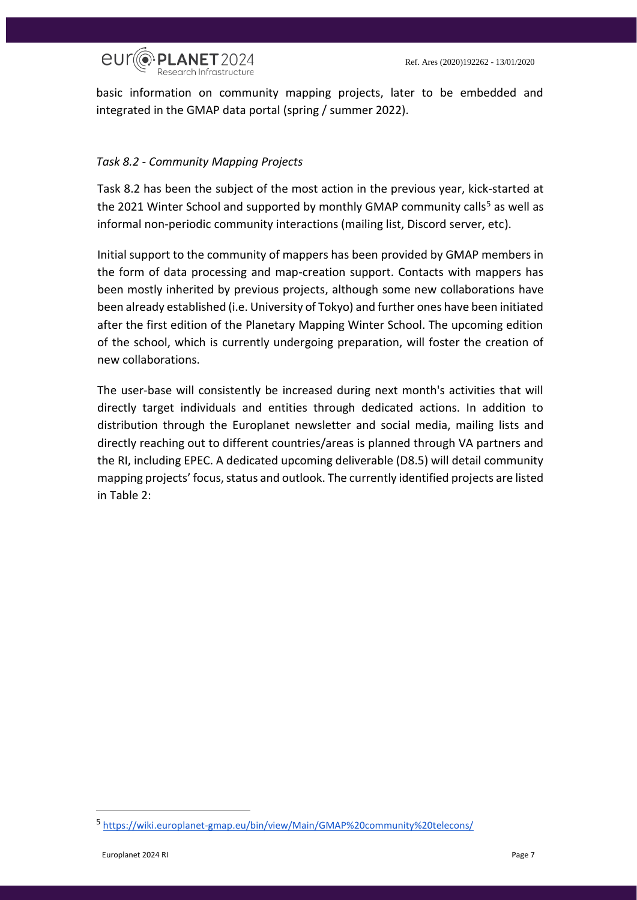

basic information on community mapping projects, later to be embedded and integrated in the GMAP data portal (spring / summer 2022).

#### <span id="page-6-0"></span>*Task 8.2 - Community Mapping Projects*

Task 8.2 has been the subject of the most action in the previous year, kick-started at the 2021 Winter School and supported by monthly GMAP community calls<sup>5</sup> as well as informal non-periodic community interactions (mailing list, Discord server, etc).

Initial support to the community of mappers has been provided by GMAP members in the form of data processing and map-creation support. Contacts with mappers has been mostly inherited by previous projects, although some new collaborations have been already established (i.e. University of Tokyo) and further ones have been initiated after the first edition of the Planetary Mapping Winter School. The upcoming edition of the school, which is currently undergoing preparation, will foster the creation of new collaborations.

The user-base will consistently be increased during next month's activities that will directly target individuals and entities through dedicated actions. In addition to distribution through the Europlanet newsletter and social media, mailing lists and directly reaching out to different countries/areas is planned through VA partners and the RI, including EPEC. A dedicated upcoming deliverable (D8.5) will detail community mapping projects' focus, status and outlook. The currently identified projects are listed in Table 2:

<sup>5</sup> <https://wiki.europlanet-gmap.eu/bin/view/Main/GMAP%20community%20telecons/>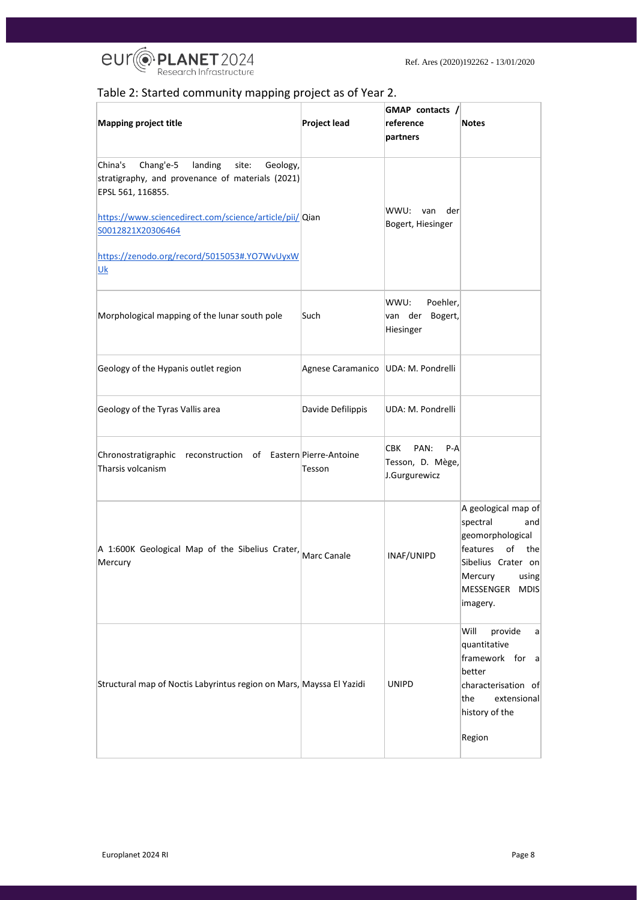

# Table 2: Started community mapping project as of Year 2.

|                                                                                                                                                                                                                                                                       |                                       | GMAP contacts /                                              |                                                                                                                                                              |
|-----------------------------------------------------------------------------------------------------------------------------------------------------------------------------------------------------------------------------------------------------------------------|---------------------------------------|--------------------------------------------------------------|--------------------------------------------------------------------------------------------------------------------------------------------------------------|
| <b>Mapping project title</b>                                                                                                                                                                                                                                          | <b>Project lead</b>                   | reference                                                    | <b>Notes</b>                                                                                                                                                 |
|                                                                                                                                                                                                                                                                       |                                       | partners                                                     |                                                                                                                                                              |
| Chang'e-5<br>China's<br>landing<br>site:<br>Geology,<br>stratigraphy, and provenance of materials (2021)<br>EPSL 561, 116855.<br>https://www.sciencedirect.com/science/article/pii/ Qian<br>S0012821X20306464<br>https://zenodo.org/record/5015053#.YO7WvUyxW<br>$Uk$ |                                       | WWU:<br>der<br>van<br>Bogert, Hiesinger                      |                                                                                                                                                              |
| Morphological mapping of the lunar south pole                                                                                                                                                                                                                         | Such                                  | Poehler,<br>WWU:<br>van der<br>Bogert,<br>Hiesinger          |                                                                                                                                                              |
| Geology of the Hypanis outlet region                                                                                                                                                                                                                                  | Agnese Caramanico   UDA: M. Pondrelli |                                                              |                                                                                                                                                              |
| Geology of the Tyras Vallis area                                                                                                                                                                                                                                      | Davide Defilippis                     | UDA: M. Pondrelli                                            |                                                                                                                                                              |
| Chronostratigraphic reconstruction of Eastern Pierre-Antoine<br>Tharsis volcanism                                                                                                                                                                                     | Tesson                                | CBK.<br>PAN:<br>$P - A$<br>Tesson, D. Mège,<br>J.Gurgurewicz |                                                                                                                                                              |
| A 1:600K Geological Map of the Sibelius Crater, Marc Canale<br>Mercury                                                                                                                                                                                                |                                       | INAF/UNIPD                                                   | A geological map of<br>spectral<br>andl<br>geomorphological<br>of<br>features<br>the<br>Sibelius Crater on<br>Mercury<br>using<br>MESSENGER MDIS<br>imagery. |
| Structural map of Noctis Labyrintus region on Mars, Mayssa El Yazidi                                                                                                                                                                                                  |                                       | <b>UNIPD</b>                                                 | Will<br>provide<br> a <br>quantitative<br>framework for a<br>better<br>characterisation of<br>the<br>extensional<br>history of the<br>Region                 |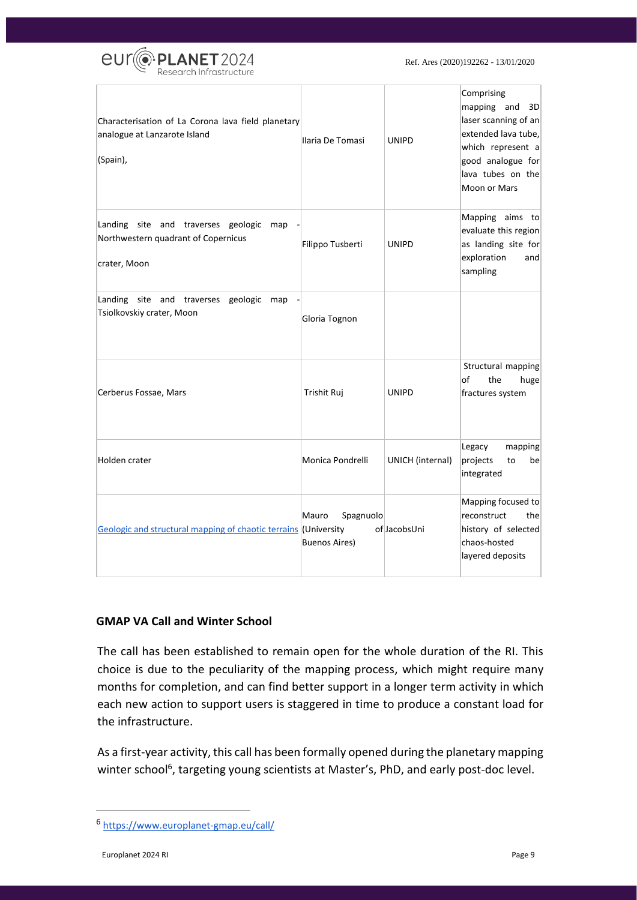

Ref. Ares (2020)192262 - 13/01/2020

| Characterisation of La Corona lava field planetary<br>analogue at Lanzarote Island<br>(Spain),    | Ilaria De Tomasi                           | <b>UNIPD</b>     | Comprising<br>mapping and<br>3D<br>laser scanning of an<br>extended lava tube,<br>which represent a<br>good analogue for<br>lava tubes on the<br>Moon or Mars |
|---------------------------------------------------------------------------------------------------|--------------------------------------------|------------------|---------------------------------------------------------------------------------------------------------------------------------------------------------------|
| Landing site and traverses geologic<br>map<br>Northwestern quadrant of Copernicus<br>crater, Moon | Filippo Tusberti                           | <b>UNIPD</b>     | Mapping aims to<br>evaluate this region<br>as landing site for<br>exploration<br>and<br>sampling                                                              |
| Landing site and traverses geologic<br>map<br>Tsiolkovskiy crater, Moon                           | Gloria Tognon                              |                  |                                                                                                                                                               |
| Cerberus Fossae, Mars                                                                             | Trishit Ruj                                | <b>UNIPD</b>     | Structural mapping<br>of<br>the<br>huge<br>fractures system                                                                                                   |
| Holden crater                                                                                     | Monica Pondrelli                           | UNICH (internal) | Legacy<br>mapping<br>projects<br>to<br>be<br>integrated                                                                                                       |
| Geologic and structural mapping of chaotic terrains (University                                   | Mauro<br>Spagnuolo<br><b>Buenos Aires)</b> | of JacobsUni     | Mapping focused to<br>reconstruct<br>the<br>history of selected<br>chaos-hosted<br>layered deposits                                                           |

#### **GMAP VA Call and Winter School**

The call has been established to remain open for the whole duration of the RI. This choice is due to the peculiarity of the mapping process, which might require many months for completion, and can find better support in a longer term activity in which each new action to support users is staggered in time to produce a constant load for the infrastructure.

As a first-year activity, this call has been formally opened during the planetary mapping winter school<sup>6</sup>, targeting young scientists at Master's, PhD, and early post-doc level.

<sup>6</sup> <https://www.europlanet-gmap.eu/call/>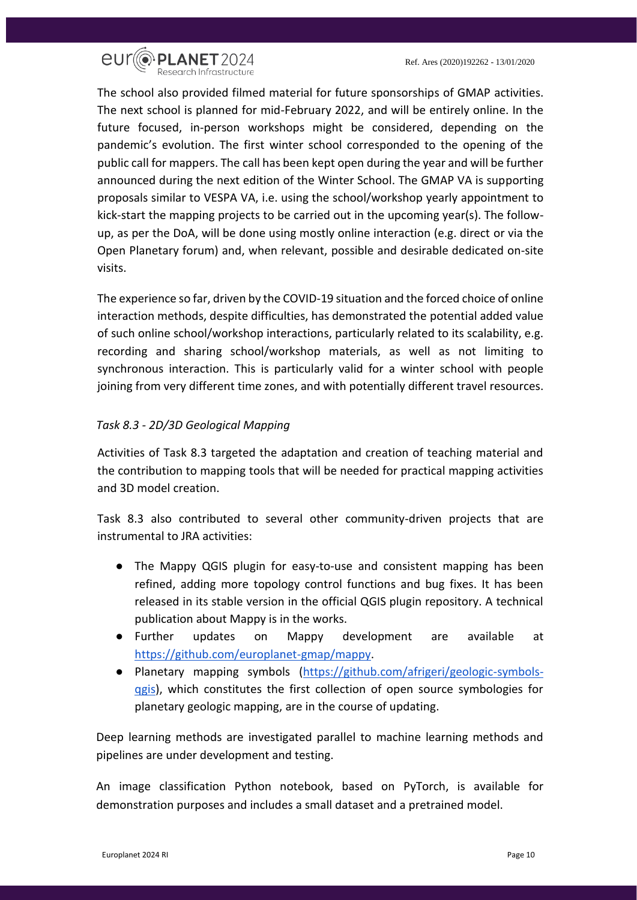

The school also provided filmed material for future sponsorships of GMAP activities. The next school is planned for mid-February 2022, and will be entirely online. In the future focused, in-person workshops might be considered, depending on the pandemic's evolution. The first winter school corresponded to the opening of the public call for mappers. The call has been kept open during the year and will be further announced during the next edition of the Winter School. The GMAP VA is supporting proposals similar to VESPA VA, i.e. using the school/workshop yearly appointment to kick-start the mapping projects to be carried out in the upcoming year(s). The followup, as per the DoA, will be done using mostly online interaction (e.g. direct or via the Open Planetary forum) and, when relevant, possible and desirable dedicated on-site visits.

The experience so far, driven by the COVID-19 situation and the forced choice of online interaction methods, despite difficulties, has demonstrated the potential added value of such online school/workshop interactions, particularly related to its scalability, e.g. recording and sharing school/workshop materials, as well as not limiting to synchronous interaction. This is particularly valid for a winter school with people joining from very different time zones, and with potentially different travel resources.

#### <span id="page-9-0"></span>*Task 8.3 - 2D/3D Geological Mapping*

Activities of Task 8.3 targeted the adaptation and creation of teaching material and the contribution to mapping tools that will be needed for practical mapping activities and 3D model creation.

Task 8.3 also contributed to several other community-driven projects that are instrumental to JRA activities:

- The Mappy QGIS plugin for easy-to-use and consistent mapping has been refined, adding more topology control functions and bug fixes. It has been released in its stable version in the official QGIS plugin repository. A technical publication about Mappy is in the works.
- Further updates on Mappy development are available at [https://github.com/europlanet-gmap/mappy.](https://github.com/europlanet-gmap/mappy)
- Planetary mapping symbols [\(https://github.com/afrigeri/geologic-symbols](https://github.com/afrigeri/geologic-symbols-qgis)[qgis\)](https://github.com/afrigeri/geologic-symbols-qgis), which constitutes the first collection of open source symbologies for planetary geologic mapping, are in the course of updating.

Deep learning methods are investigated parallel to machine learning methods and pipelines are under development and testing.

An image classification Python notebook, based on PyTorch, is available for demonstration purposes and includes a small dataset and a pretrained model.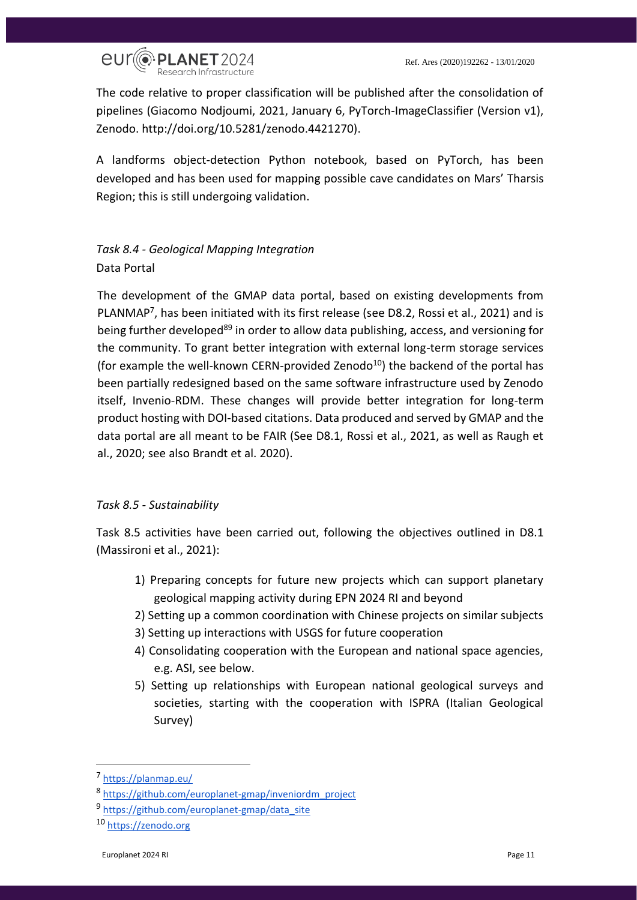

The code relative to proper classification will be published after the consolidation of pipelines (Giacomo Nodjoumi, 2021, January 6, PyTorch-ImageClassifier (Version v1), Zenodo. http://doi.org/10.5281/zenodo.4421270).

A landforms object-detection Python notebook, based on PyTorch, has been developed and has been used for mapping possible cave candidates on Mars' Tharsis Region; this is still undergoing validation.

<span id="page-10-0"></span>*Task 8.4 - Geological Mapping Integration* Data Portal

The development of the GMAP data portal, based on existing developments from PLANMAP<sup>7</sup>, has been initiated with its first release (see D8.2, Rossi et al., 2021) and is being further developed<sup>89</sup> in order to allow data publishing, access, and versioning for the community. To grant better integration with external long-term storage services (for example the well-known CERN-provided Zenodo<sup>10</sup>) the backend of the portal has been partially redesigned based on the same software infrastructure used by Zenodo itself, Invenio-RDM. These changes will provide better integration for long-term product hosting with DOI-based citations. Data produced and served by GMAP and the data portal are all meant to be FAIR (See D8.1, Rossi et al., 2021, as well as Raugh et al., 2020; see also Brandt et al. 2020).

#### <span id="page-10-1"></span>*Task 8.5 - Sustainability*

Task 8.5 activities have been carried out, following the objectives outlined in D8.1 (Massironi et al., 2021):

- 1) Preparing concepts for future new projects which can support planetary geological mapping activity during EPN 2024 RI and beyond
- 2) Setting up a common coordination with Chinese projects on similar subjects
- 3) Setting up interactions with USGS for future cooperation
- 4) Consolidating cooperation with the European and national space agencies, e.g. ASI, see below.
- 5) Setting up relationships with European national geological surveys and societies, starting with the cooperation with ISPRA (Italian Geological Survey)

<sup>7</sup> <https://planmap.eu/>

<sup>8</sup> [https://github.com/europlanet-gmap/inveniordm\\_project](https://github.com/europlanet-gmap/inveniordm_project)

<sup>9</sup> [https://github.com/europlanet-gmap/data\\_site](https://github.com/europlanet-gmap/data_site)

<sup>10</sup> [https://zenodo.org](https://zenodo.org/)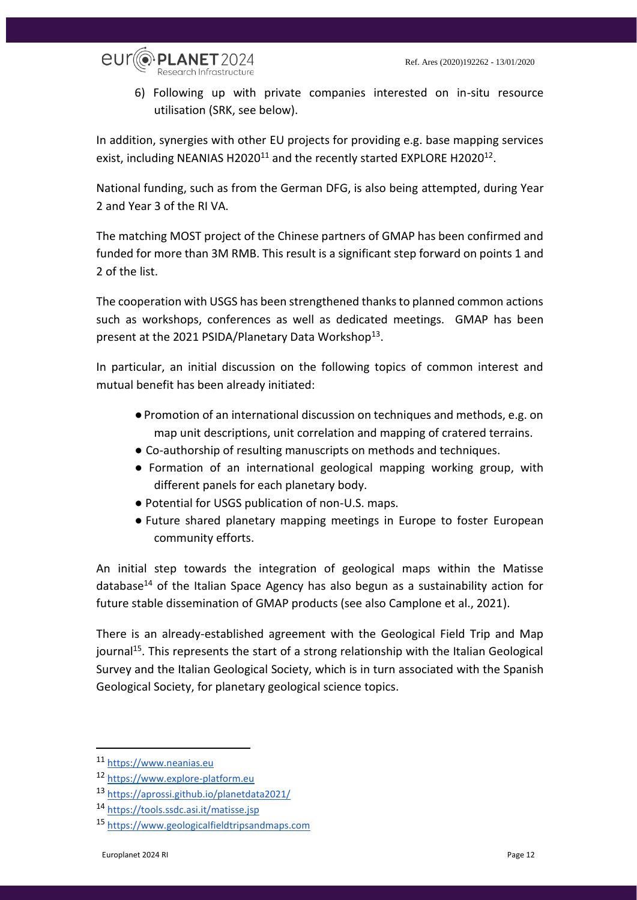

6) Following up with private companies interested on in-situ resource utilisation (SRK, see below).

In addition, synergies with other EU projects for providing e.g. base mapping services exist, including NEANIAS H2020<sup>11</sup> and the recently started EXPLORE H2020<sup>12</sup>.

National funding, such as from the German DFG, is also being attempted, during Year 2 and Year 3 of the RI VA.

The matching MOST project of the Chinese partners of GMAP has been confirmed and funded for more than 3M RMB. This result is a significant step forward on points 1 and 2 of the list.

The cooperation with USGS has been strengthened thanks to planned common actions such as workshops, conferences as well as dedicated meetings. GMAP has been present at the 2021 PSIDA/Planetary Data Workshop<sup>13</sup>.

In particular, an initial discussion on the following topics of common interest and mutual benefit has been already initiated:

- ●Promotion of an international discussion on techniques and methods, e.g. on map unit descriptions, unit correlation and mapping of cratered terrains.
- Co-authorship of resulting manuscripts on methods and techniques.
- Formation of an international geological mapping working group, with different panels for each planetary body.
- Potential for USGS publication of non-U.S. maps.
- Future shared planetary mapping meetings in Europe to foster European community efforts.

An initial step towards the integration of geological maps within the Matisse database<sup>14</sup> of the Italian Space Agency has also begun as a sustainability action for future stable dissemination of GMAP products (see also Camplone et al., 2021).

There is an already-established agreement with the Geological Field Trip and Map journal<sup>15</sup>. This represents the start of a strong relationship with the Italian Geological Survey and the Italian Geological Society, which is in turn associated with the Spanish Geological Society, for planetary geological science topics.

<sup>11</sup> [https://www.neanias.eu](https://www.neanias.eu/)

<sup>12</sup> [https://www.explore-platform.eu](https://www.explore-platform.eu/)

<sup>13</sup> <https://aprossi.github.io/planetdata2021/>

<sup>14</sup> <https://tools.ssdc.asi.it/matisse.jsp>

<sup>15</sup> [https://www.geologicalfieldtripsandmaps.com](https://www.geologicalfieldtripsandmaps.com/)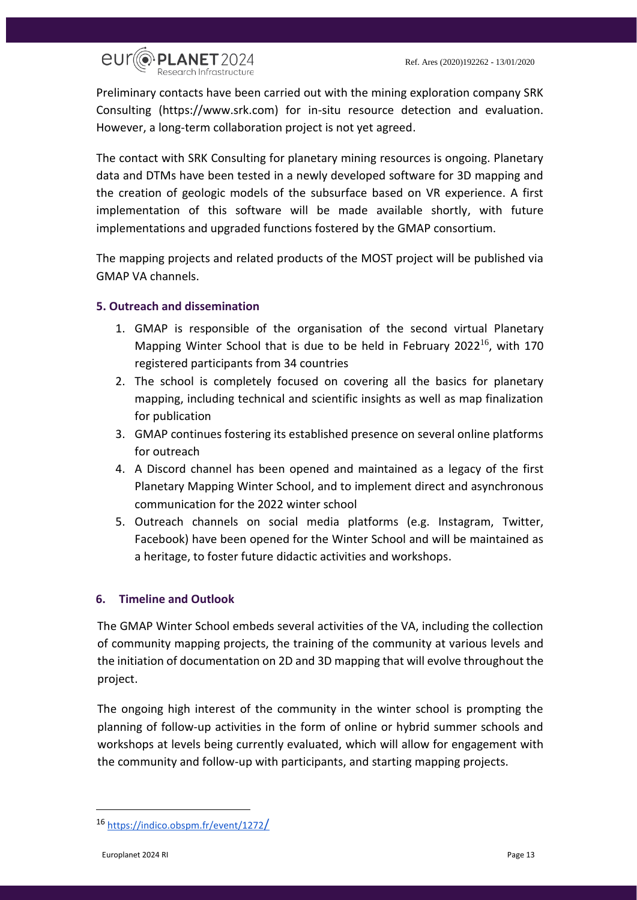

Preliminary contacts have been carried out with the mining exploration company SRK Consulting (https://www.srk.com) for in-situ resource detection and evaluation. However, a long-term collaboration project is not yet agreed.

The contact with SRK Consulting for planetary mining resources is ongoing. Planetary data and DTMs have been tested in a newly developed software for 3D mapping and the creation of geologic models of the subsurface based on VR experience. A first implementation of this software will be made available shortly, with future implementations and upgraded functions fostered by the GMAP consortium.

The mapping projects and related products of the MOST project will be published via GMAP VA channels.

#### <span id="page-12-0"></span>**5. Outreach and dissemination**

- 1. GMAP is responsible of the organisation of the second virtual Planetary Mapping Winter School that is due to be held in February 2022<sup>16</sup>, with 170 registered participants from 34 countries
- 2. The school is completely focused on covering all the basics for planetary mapping, including technical and scientific insights as well as map finalization for publication
- 3. GMAP continues fostering its established presence on several online platforms for outreach
- 4. A Discord channel has been opened and maintained as a legacy of the first Planetary Mapping Winter School, and to implement direct and asynchronous communication for the 2022 winter school
- 5. Outreach channels on social media platforms (e.g. Instagram, Twitter, Facebook) have been opened for the Winter School and will be maintained as a heritage, to foster future didactic activities and workshops.

#### <span id="page-12-1"></span>**6. Timeline and Outlook**

The GMAP Winter School embeds several activities of the VA, including the collection of community mapping projects, the training of the community at various levels and the initiation of documentation on 2D and 3D mapping that will evolve throughout the project.

The ongoing high interest of the community in the winter school is prompting the planning of follow-up activities in the form of online or hybrid summer schools and workshops at levels being currently evaluated, which will allow for engagement with the community and follow-up with participants, and starting mapping projects.

<sup>16</sup> [https://indico.obspm.fr/event/1272](https://indico.obspm.fr/event/1272/)[/](https://indico.obspm.fr/event/1272/)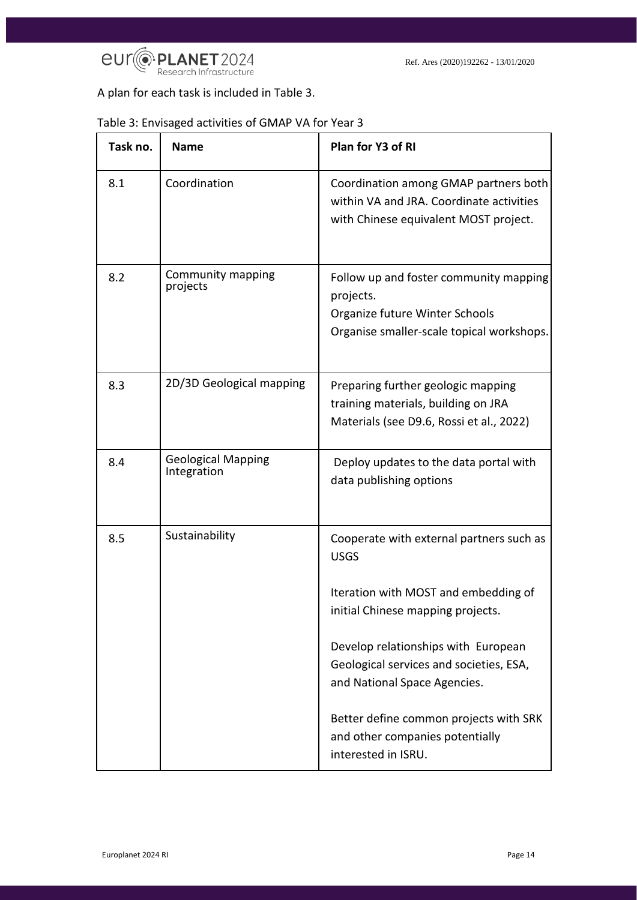

A plan for each task is included in Table 3.

| Task no. | <b>Name</b>                              | Plan for Y3 of RI                                                                                                                  |
|----------|------------------------------------------|------------------------------------------------------------------------------------------------------------------------------------|
| 8.1      | Coordination                             | Coordination among GMAP partners both<br>within VA and JRA. Coordinate activities<br>with Chinese equivalent MOST project.         |
| 8.2      | Community mapping<br>projects            | Follow up and foster community mapping<br>projects.<br>Organize future Winter Schools<br>Organise smaller-scale topical workshops. |
| 8.3      | 2D/3D Geological mapping                 | Preparing further geologic mapping<br>training materials, building on JRA<br>Materials (see D9.6, Rossi et al., 2022)              |
| 8.4      | <b>Geological Mapping</b><br>Integration | Deploy updates to the data portal with<br>data publishing options                                                                  |
| 8.5      | Sustainability                           | Cooperate with external partners such as<br><b>USGS</b>                                                                            |
|          |                                          | Iteration with MOST and embedding of<br>initial Chinese mapping projects.                                                          |
|          |                                          | Develop relationships with European<br>Geological services and societies, ESA,<br>and National Space Agencies.                     |
|          |                                          | Better define common projects with SRK<br>and other companies potentially<br>interested in ISRU.                                   |

### Table 3: Envisaged activities of GMAP VA for Year 3